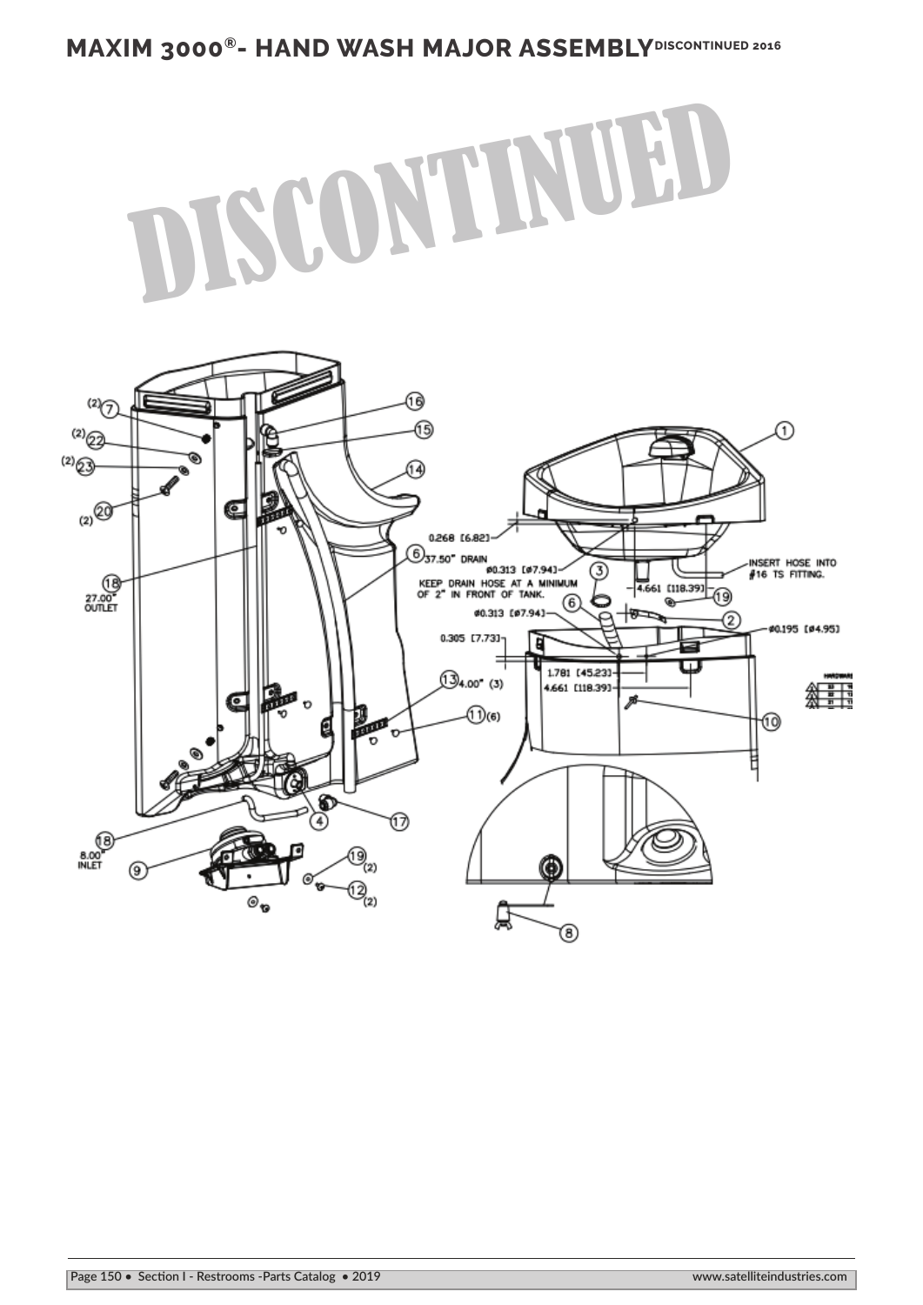## **MAXIM 3000<sup>®</sup>- HAND WASH MAJOR ASSEMBLYDISCONTINUED 2016**